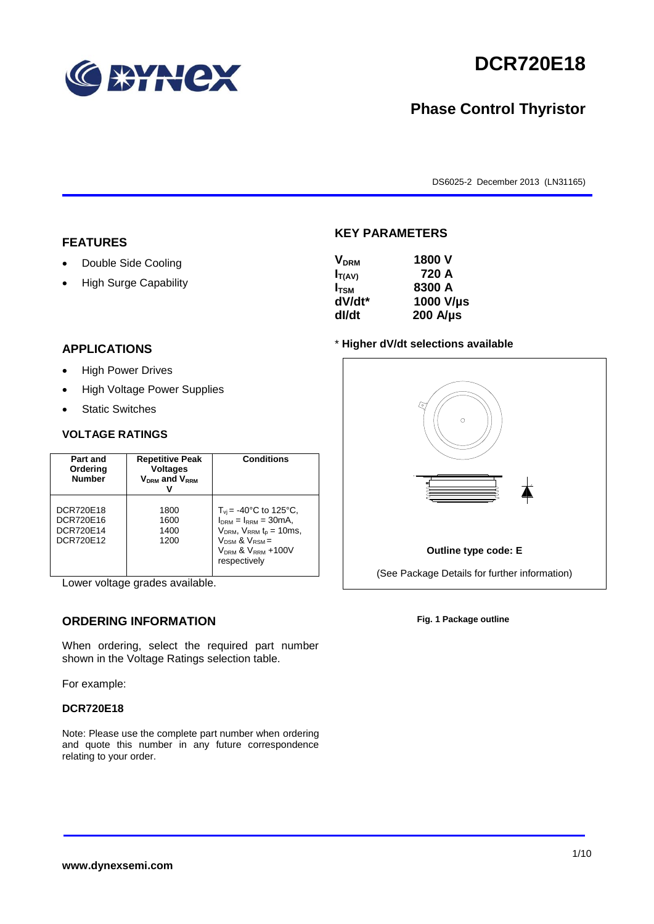

# **DCR720E18**

## **Phase Control Thyristor**

DS6025-2 December 2013 (LN31165)

#### **FEATURES**

- Double Side Cooling
- High Surge Capability

#### **KEY PARAMETERS**

| <b>V<sub>DRM</sub></b> | 1800 V           |
|------------------------|------------------|
| $I_{T(AV)}$            | 720 A            |
| I <sub>TSM</sub>       | 8300 A           |
| dV/dt*                 | 1000 V/µs        |
| dl/dt                  | $200$ A/ $\mu$ s |

#### **APPLICATIONS**

- High Power Drives
- High Voltage Power Supplies
- Static Switches

#### **VOLTAGE RATINGS**

| Part and<br>Ordering<br><b>Number</b>            | <b>Repetitive Peak</b><br><b>Voltages</b><br>$V_{DRM}$ and $V_{RRM}$ | <b>Conditions</b>                                                                                                                                                                          |
|--------------------------------------------------|----------------------------------------------------------------------|--------------------------------------------------------------------------------------------------------------------------------------------------------------------------------------------|
| DCR720E18<br>DCR720E16<br>DCR720E14<br>DCR720E12 | 1800<br>1600<br>1400<br>1200                                         | $T_{vi}$ = -40°C to 125°C,<br>$I_{DRM} = I_{RRM} = 30mA$ ,<br>$V_{DRM}$ , $V_{RRM}$ $t_p = 10$ ms,<br>$V_{DSM}$ & $V_{RSM}$ =<br>V <sub>DRM</sub> & V <sub>RRM</sub> +100V<br>respectively |

Lower voltage grades available.

## **ORDERING INFORMATION**

When ordering, select the required part number shown in the Voltage Ratings selection table.

For example:

#### **DCR720E18**

Note: Please use the complete part number when ordering and quote this number in any future correspondence relating to your order.





**Fig. 1 Package outline**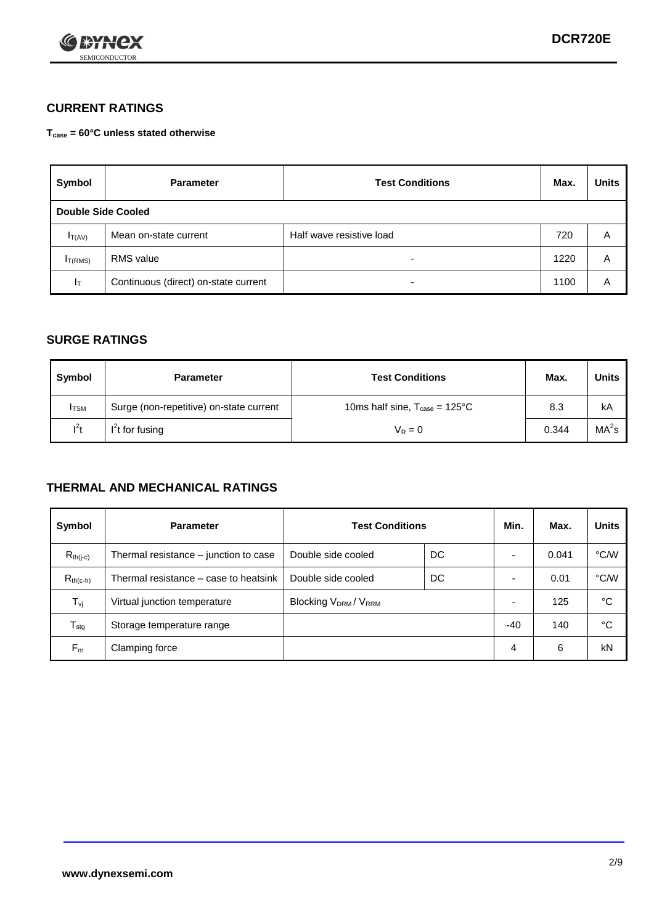

### **CURRENT RATINGS**

#### **Tcase = 60°C unless stated otherwise**

| Symbol       | <b>Parameter</b>                     | <b>Test Conditions</b>   | Max. | <b>Units</b> |  |  |
|--------------|--------------------------------------|--------------------------|------|--------------|--|--|
|              | Double Side Cooled                   |                          |      |              |  |  |
| $I_{T(AV)}$  | Mean on-state current                | Half wave resistive load | 720  | A            |  |  |
| $I_{T(RMS)}$ | RMS value                            | $\overline{\phantom{a}}$ | 1220 | A            |  |  |
| Iт           | Continuous (direct) on-state current | $\overline{\phantom{a}}$ | 1100 | Α            |  |  |

### **SURGE RATINGS**

| Symbol       | <b>Parameter</b>                        | <b>Test Conditions</b>                           | Max.  | <b>Units</b>      |
|--------------|-----------------------------------------|--------------------------------------------------|-------|-------------------|
| <b>I</b> TSM | Surge (non-repetitive) on-state current | 10ms half sine, $T_{\text{case}} = 125^{\circ}C$ | 8.3   | kA                |
| $I^2t$       | I <sup>2</sup> t for fusing             | $V_R = 0$                                        | 0.344 | MA <sup>2</sup> S |

### **THERMAL AND MECHANICAL RATINGS**

| Symbol           | <b>Parameter</b>                      | <b>Test Conditions</b>                       |    | Min.  | Max.  | <b>Units</b> |
|------------------|---------------------------------------|----------------------------------------------|----|-------|-------|--------------|
| $R_{th(j-c)}$    | Thermal resistance – junction to case | Double side cooled                           | DC |       | 0.041 | °C/W         |
| $R_{th(c-h)}$    | Thermal resistance – case to heatsink | Double side cooled                           | DC |       | 0.01  | °C/W         |
| $T_{\nu j}$      | Virtual junction temperature          | Blocking V <sub>DRM</sub> / V <sub>RRM</sub> |    |       | 125   | °C           |
| $T_{\text{stg}}$ | Storage temperature range             |                                              |    | $-40$ | 140   | °C           |
| $F_m$            | Clamping force                        |                                              |    | 4     | 6     | kN           |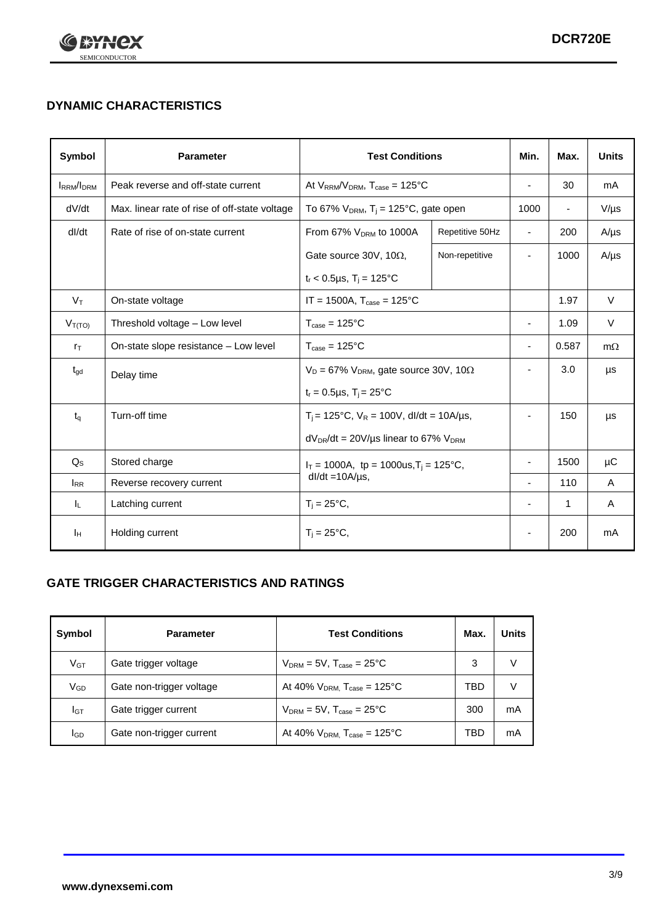

## **DYNAMIC CHARACTERISTICS**

| <b>Symbol</b>     | <b>Parameter</b>                              | <b>Test Conditions</b>                                                        |                 | Min.                     | Max.                     | <b>Units</b> |
|-------------------|-----------------------------------------------|-------------------------------------------------------------------------------|-----------------|--------------------------|--------------------------|--------------|
| <b>IRRM</b> /IDRM | Peak reverse and off-state current            | At $V_{RRM}/V_{DRM}$ , $T_{case} = 125$ °C                                    |                 | $\blacksquare$           | 30                       | mA           |
| dV/dt             | Max. linear rate of rise of off-state voltage | To 67% $V_{DRM}$ , T <sub>i</sub> = 125°C, gate open                          |                 | 1000                     | $\overline{\phantom{a}}$ | $V/\mu s$    |
| dl/dt             | Rate of rise of on-state current              | From 67% $V_{DRM}$ to 1000A                                                   | Repetitive 50Hz | $\overline{\phantom{a}}$ | 200                      | $A/\mu s$    |
|                   |                                               | Gate source 30V, 10 $\Omega$ ,                                                | Non-repetitive  | $\overline{\phantom{a}}$ | 1000                     | $A/\mu s$    |
|                   |                                               | $t_r$ < 0.5µs, T <sub>i</sub> = 125°C                                         |                 |                          |                          |              |
| $V_T$             | On-state voltage                              | $IT = 1500A$ , $T_{case} = 125^{\circ}C$                                      |                 |                          | 1.97                     | $\vee$       |
| $V_{T(TO)}$       | Threshold voltage - Low level                 | $T_{\text{case}} = 125^{\circ}C$                                              |                 | ٠                        | 1.09                     | $\vee$       |
| $r_{\text{T}}$    | On-state slope resistance - Low level         | $T_{\text{case}} = 125^{\circ}C$                                              |                 | $\overline{\phantom{a}}$ | 0.587                    | $m\Omega$    |
| $t_{\rm gd}$      | Delay time                                    | $V_D = 67\%$ V <sub>DRM</sub> , gate source 30V, 10 $\Omega$                  |                 | ÷,                       | 3.0                      | μs           |
|                   |                                               | $t_r = 0.5 \mu s$ , $T_i = 25^{\circ}C$                                       |                 |                          |                          |              |
| $t_{q}$           | Turn-off time                                 | $T_i$ = 125°C, $V_R$ = 100V, dl/dt = 10A/µs,                                  |                 | $\overline{\phantom{a}}$ | 150                      | μs           |
|                   |                                               | $dV_{DR}/dt = 20V/\mu s$ linear to 67% $V_{DRM}$                              |                 |                          |                          |              |
| $Q_{\rm S}$       | Stored charge                                 | $I_T = 1000A$ , tp = 1000us, T <sub>i</sub> = 125°C,<br>$dl/dt = 10A/\mu s$ , |                 |                          | 1500                     | μC           |
| $I_{RR}$          | Reverse recovery current                      |                                                                               |                 |                          | 110                      | A            |
| IL.               | Latching current                              | $T_j = 25^{\circ}C$ ,                                                         |                 | $\overline{\phantom{a}}$ | 1                        | Α            |
| Iн                | Holding current                               | $T_i = 25^{\circ}C,$                                                          |                 |                          | 200                      | mA           |

## **GATE TRIGGER CHARACTERISTICS AND RATINGS**

| Symbol          | <b>Parameter</b>         | <b>Test Conditions</b>                       | Max. | <b>Units</b> |
|-----------------|--------------------------|----------------------------------------------|------|--------------|
| V <sub>GT</sub> | Gate trigger voltage     | $V_{DRM} = 5V$ , $T_{case} = 25^{\circ}C$    | 3    | v            |
| $\rm V_{GD}$    | Gate non-trigger voltage | At 40% $V_{DRM}$ , $T_{case} = 125^{\circ}C$ | TBD  | V            |
| Iст             | Gate trigger current     | $V_{DRM} = 5V$ , $T_{case} = 25^{\circ}C$    | 300  | mA           |
| lgp             | Gate non-trigger current | At 40% $V_{DRM}$ , $T_{case} = 125^{\circ}C$ | TBD  | mA           |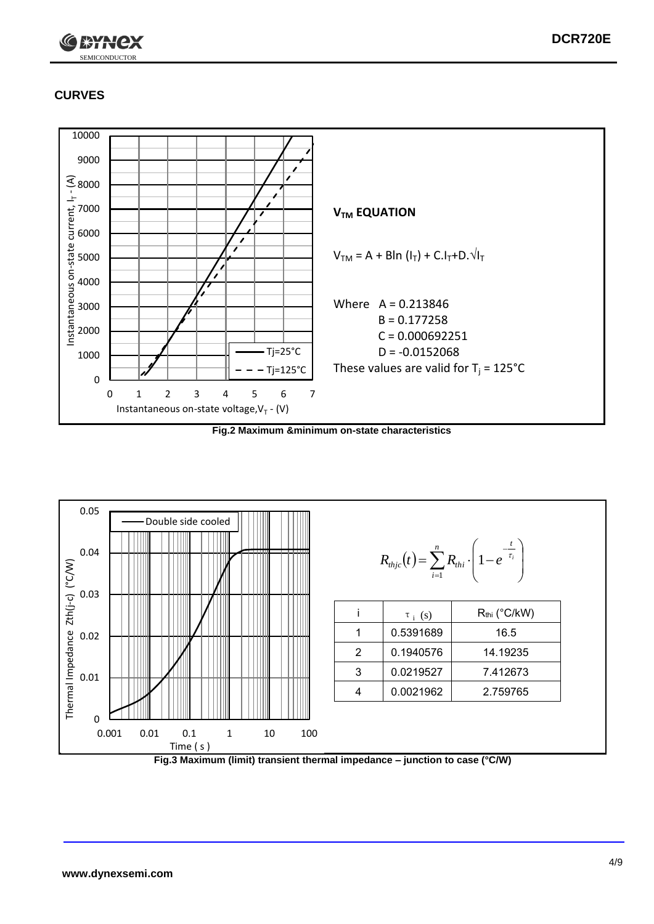

## **CURVES**



**Fig.2 Maximum &minimum on-state characteristics**



**Fig.3 Maximum (limit) transient thermal impedance – junction to case (°C/W)**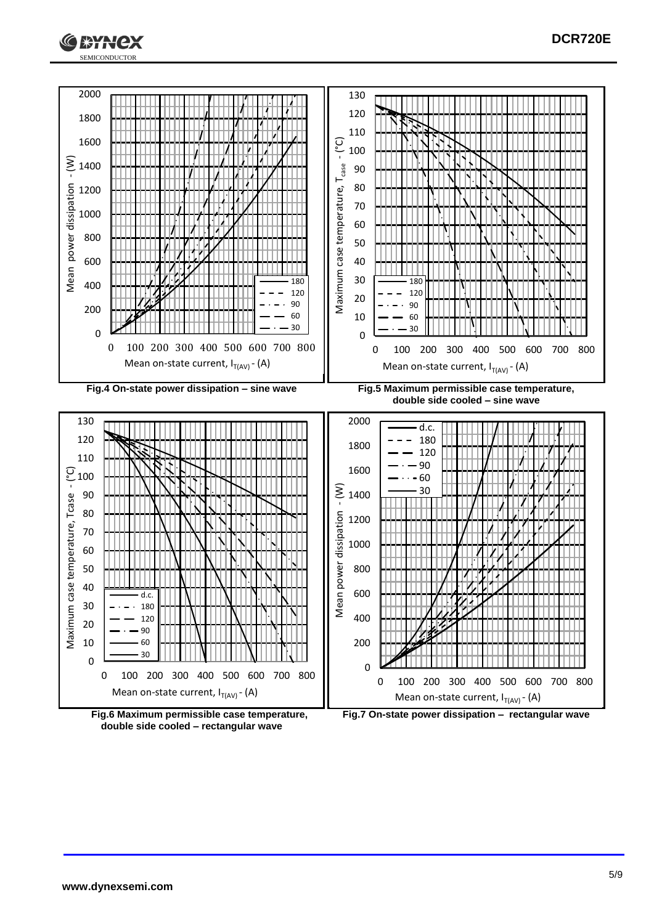





**Fig.6 Maximum permissible case temperature, double side cooled – rectangular wave**

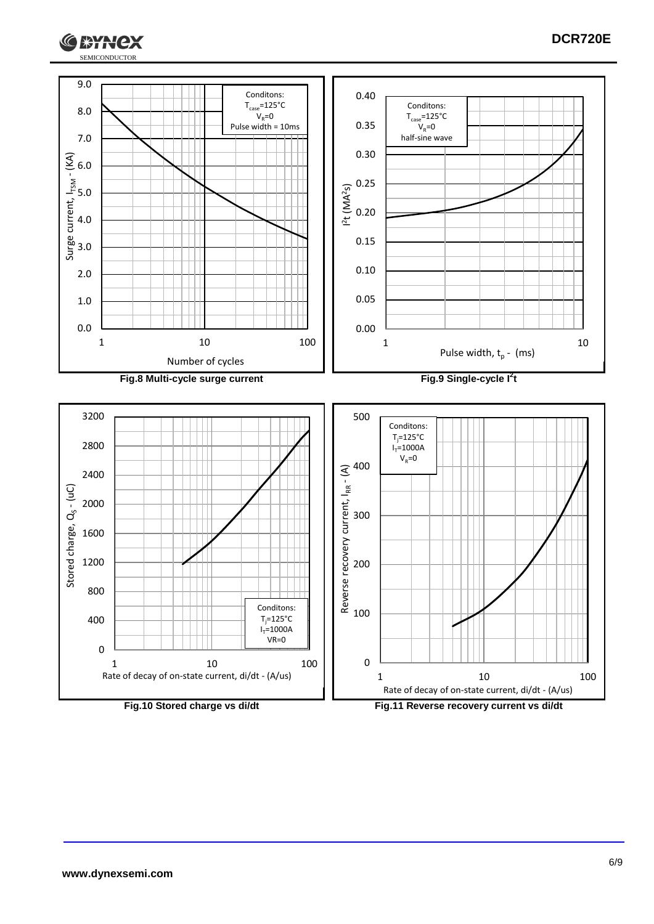

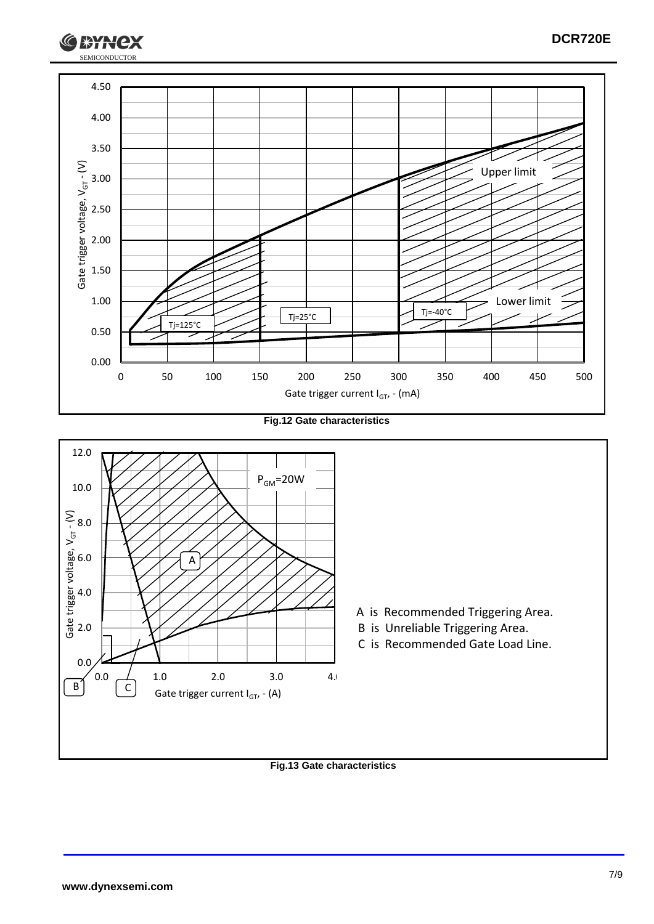

**Fig.12 Gate characteristics**



**Fig.13 Gate characteristics**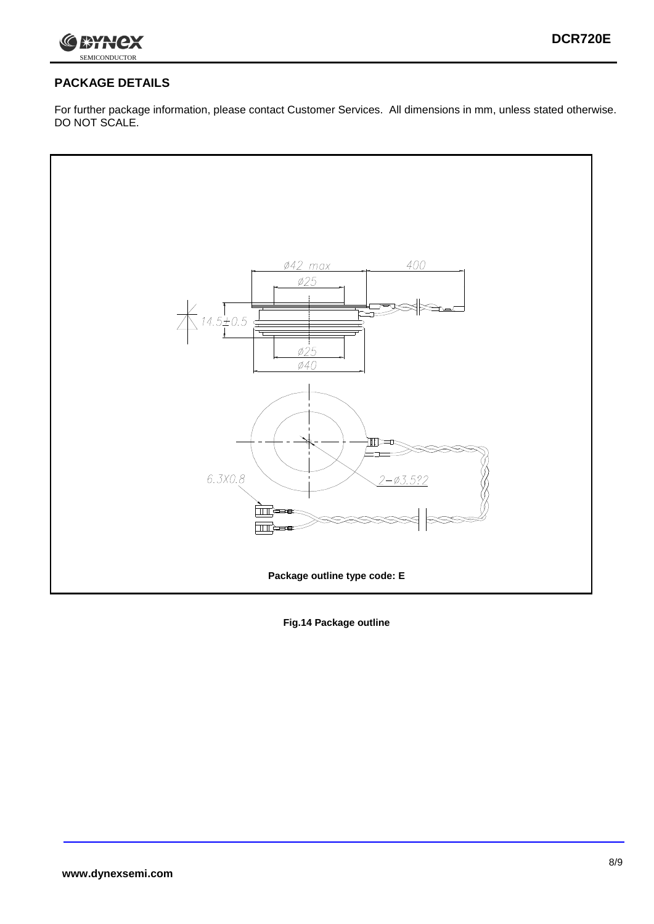

## **PACKAGE DETAILS**

For further package information, please contact Customer Services. All dimensions in mm, unless stated otherwise. DO NOT SCALE.



**Fig.14 Package outline**